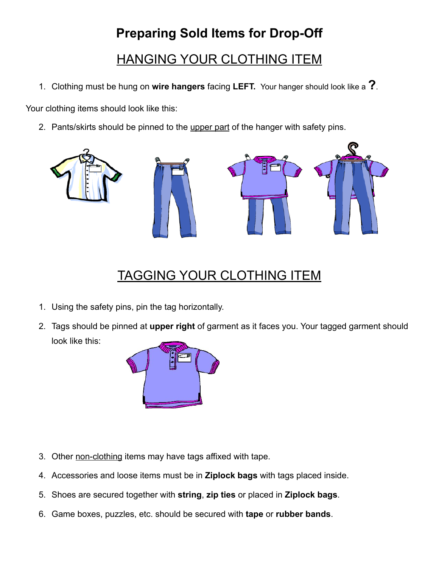# **Preparing Sold Items for Drop-Off**

HANGING YOUR CLOTHING ITEM

1. Clothing must be hung on **wire hangers** facing **LEFT.** Your hanger should look like a **?**.

Your clothing items should look like this:

2. Pants/skirts should be pinned to the upper part of the hanger with safety pins.



## TAGGING YOUR CLOTHING ITEM

- 1. Using the safety pins, pin the tag horizontally.
- 2. Tags should be pinned at **upper right** of garment as it faces you. Your tagged garment should look like this:



- 3. Other non-clothing items may have tags affixed with tape.
- 4. Accessories and loose items must be in **Ziplock bags** with tags placed inside.
- 5. Shoes are secured together with **string**, **zip ties** or placed in **Ziplock bags**.
- 6. Game boxes, puzzles, etc. should be secured with **tape** or **rubber bands**.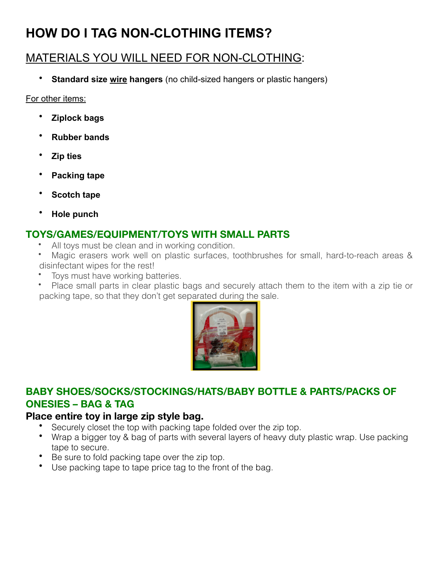## **HOW DO I TAG NON-CLOTHING ITEMS?**

## MATERIALS YOU WILL NEED FOR NON-CLOTHING:

• **Standard size wire hangers** (no child-sized hangers or plastic hangers)

For other items:

- **Ziplock bags**
- **Rubber bands**
- **Zip ties**
- **Packing tape**
- **Scotch tape**
- **Hole punch**

## **TOYS/GAMES/EQUIPMENT/TOYS WITH SMALL PARTS**

- All toys must be clean and in working condition.
- Magic erasers work well on plastic surfaces, toothbrushes for small, hard-to-reach areas & disinfectant wipes for the rest!
- Toys must have working batteries.
- Place small parts in clear plastic bags and securely attach them to the item with a zip tie or packing tape, so that they don't get separated during the sale.



### **BABY SHOES/SOCKS/STOCKINGS/HATS/BABY BOTTLE & PARTS/PACKS OF ONESIES – BAG & TAG**

### **Place entire toy in large zip style bag.**

- Securely closet the top with packing tape folded over the zip top.
- Wrap a bigger toy & bag of parts with several layers of heavy duty plastic wrap. Use packing tape to secure.
- Be sure to fold packing tape over the zip top.
- Use packing tape to tape price tag to the front of the bag.